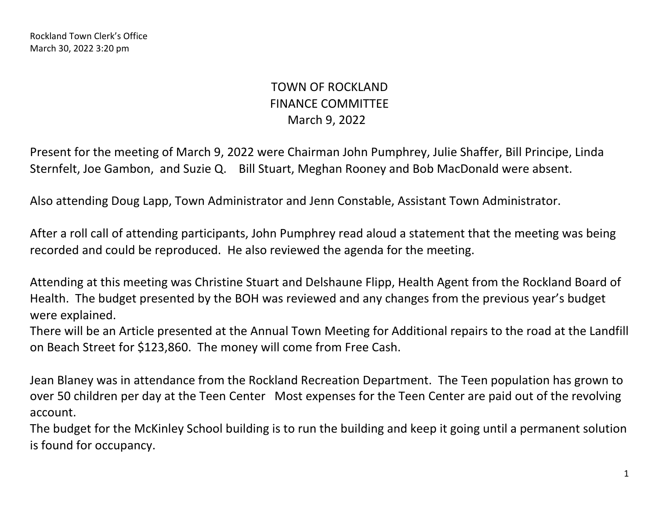Rockland Town Clerk's Office March 30, 2022 3:20 pm

## TOWN OF ROCKLAND FINANCE COMMITTEE March 9, 2022

Present for the meeting of March 9, 2022 were Chairman John Pumphrey, Julie Shaffer, Bill Principe, Linda Sternfelt, Joe Gambon, and Suzie Q. Bill Stuart, Meghan Rooney and Bob MacDonald were absent.

Also attending Doug Lapp, Town Administrator and Jenn Constable, Assistant Town Administrator.

After a roll call of attending participants, John Pumphrey read aloud a statement that the meeting was being recorded and could be reproduced. He also reviewed the agenda for the meeting.

Attending at this meeting was Christine Stuart and Delshaune Flipp, Health Agent from the Rockland Board of Health. The budget presented by the BOH was reviewed and any changes from the previous year's budget were explained.

There will be an Article presented at the Annual Town Meeting for Additional repairs to the road at the Landfill on Beach Street for \$123,860. The money will come from Free Cash.

Jean Blaney was in attendance from the Rockland Recreation Department. The Teen population has grown to over 50 children per day at the Teen Center Most expenses for the Teen Center are paid out of the revolving account.

The budget for the McKinley School building is to run the building and keep it going until a permanent solution is found for occupancy.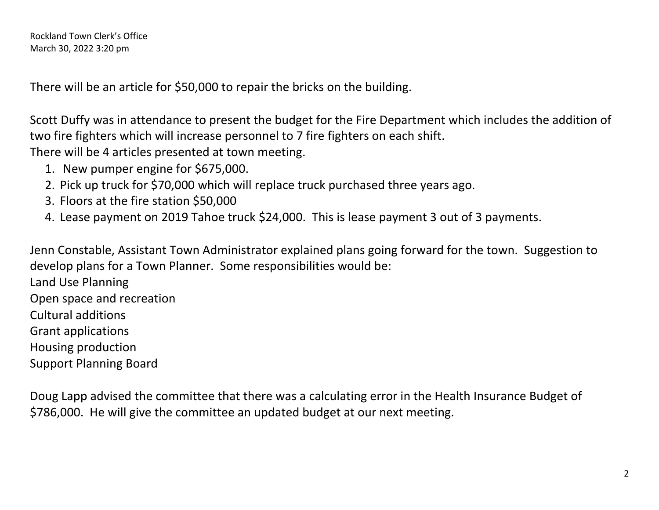There will be an article for \$50,000 to repair the bricks on the building.

Scott Duffy was in attendance to present the budget for the Fire Department which includes the addition of two fire fighters which will increase personnel to 7 fire fighters on each shift.

There will be 4 articles presented at town meeting.

- 1. New pumper engine for \$675,000.
- 2. Pick up truck for \$70,000 which will replace truck purchased three years ago.
- 3. Floors at the fire station \$50,000
- 4. Lease payment on 2019 Tahoe truck \$24,000. This is lease payment 3 out of 3 payments.

Jenn Constable, Assistant Town Administrator explained plans going forward for the town. Suggestion to develop plans for a Town Planner. Some responsibilities would be:

Land Use Planning Open space and recreation Cultural additions Grant applications Housing production Support Planning Board

Doug Lapp advised the committee that there was a calculating error in the Health Insurance Budget of \$786,000. He will give the committee an updated budget at our next meeting.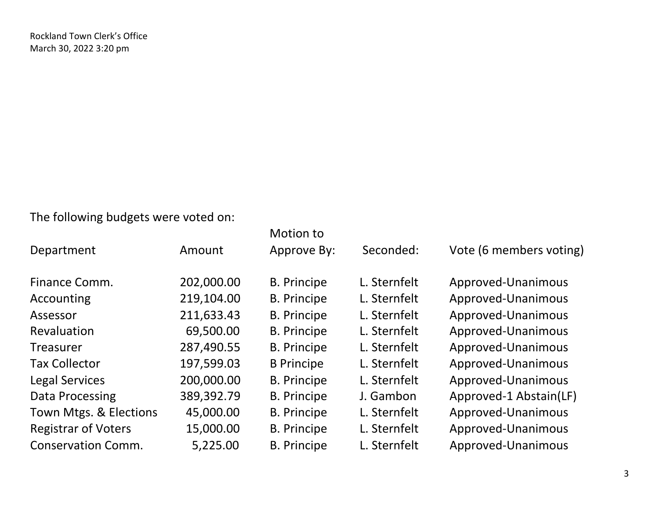The following budgets were voted on:

|                            |            | Motion to          |              |                         |
|----------------------------|------------|--------------------|--------------|-------------------------|
| Department                 | Amount     | Approve By:        | Seconded:    | Vote (6 members voting) |
|                            |            |                    |              |                         |
| Finance Comm.              | 202,000.00 | <b>B.</b> Principe | L. Sternfelt | Approved-Unanimous      |
| Accounting                 | 219,104.00 | <b>B.</b> Principe | L. Sternfelt | Approved-Unanimous      |
| Assessor                   | 211,633.43 | <b>B.</b> Principe | L. Sternfelt | Approved-Unanimous      |
| Revaluation                | 69,500.00  | <b>B.</b> Principe | L. Sternfelt | Approved-Unanimous      |
| <b>Treasurer</b>           | 287,490.55 | <b>B.</b> Principe | L. Sternfelt | Approved-Unanimous      |
| <b>Tax Collector</b>       | 197,599.03 | <b>B</b> Principe  | L. Sternfelt | Approved-Unanimous      |
| <b>Legal Services</b>      | 200,000.00 | <b>B.</b> Principe | L. Sternfelt | Approved-Unanimous      |
| Data Processing            | 389,392.79 | <b>B.</b> Principe | J. Gambon    | Approved-1 Abstain(LF)  |
| Town Mtgs. & Elections     | 45,000.00  | <b>B.</b> Principe | L. Sternfelt | Approved-Unanimous      |
| <b>Registrar of Voters</b> | 15,000.00  | <b>B.</b> Principe | L. Sternfelt | Approved-Unanimous      |
| <b>Conservation Comm.</b>  | 5,225.00   | <b>B.</b> Principe | L. Sternfelt | Approved-Unanimous      |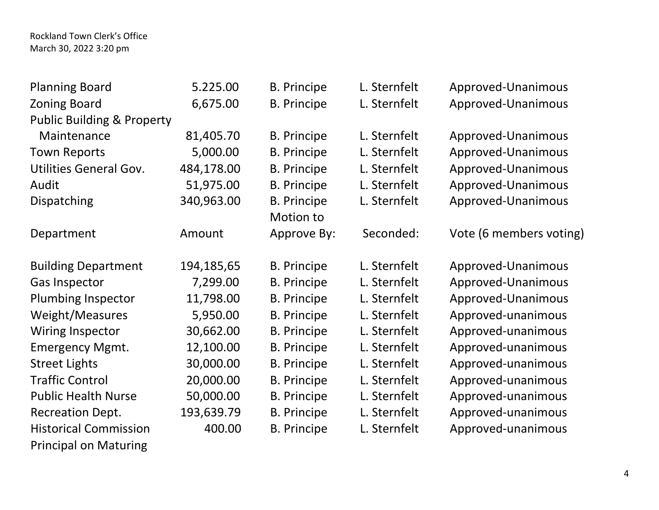Rockland Town Clerk's Office March 30, 2022 3:20 pm

| <b>Planning Board</b>                 | 5.225.00   | <b>B.</b> Principe | L. Sternfelt | Approved-Unanimous      |
|---------------------------------------|------------|--------------------|--------------|-------------------------|
| <b>Zoning Board</b>                   | 6,675.00   | <b>B.</b> Principe | L. Sternfelt | Approved-Unanimous      |
| <b>Public Building &amp; Property</b> |            |                    |              |                         |
| Maintenance                           | 81,405.70  | <b>B.</b> Principe | L. Sternfelt | Approved-Unanimous      |
| <b>Town Reports</b>                   | 5,000.00   | <b>B.</b> Principe | L. Sternfelt | Approved-Unanimous      |
| <b>Utilities General Gov.</b>         | 484,178.00 | <b>B.</b> Principe | L. Sternfelt | Approved-Unanimous      |
| Audit                                 | 51,975.00  | <b>B.</b> Principe | L. Sternfelt | Approved-Unanimous      |
| Dispatching                           | 340,963.00 | <b>B.</b> Principe | L. Sternfelt | Approved-Unanimous      |
|                                       |            | Motion to          |              |                         |
| Department                            | Amount     | Approve By:        | Seconded:    | Vote (6 members voting) |
| <b>Building Department</b>            | 194,185,65 | <b>B.</b> Principe | L. Sternfelt | Approved-Unanimous      |
| <b>Gas Inspector</b>                  | 7,299.00   | <b>B. Principe</b> | L. Sternfelt | Approved-Unanimous      |
| <b>Plumbing Inspector</b>             | 11,798.00  | <b>B.</b> Principe | L. Sternfelt | Approved-Unanimous      |
| Weight/Measures                       | 5,950.00   | <b>B. Principe</b> | L. Sternfelt | Approved-unanimous      |
| Wiring Inspector                      | 30,662.00  | <b>B.</b> Principe | L. Sternfelt | Approved-unanimous      |
| <b>Emergency Mgmt.</b>                | 12,100.00  | <b>B.</b> Principe | L. Sternfelt | Approved-unanimous      |
| <b>Street Lights</b>                  | 30,000.00  | <b>B.</b> Principe | L. Sternfelt | Approved-unanimous      |
| <b>Traffic Control</b>                | 20,000.00  | <b>B.</b> Principe | L. Sternfelt | Approved-unanimous      |
| <b>Public Health Nurse</b>            | 50,000.00  | <b>B.</b> Principe | L. Sternfelt | Approved-unanimous      |
| <b>Recreation Dept.</b>               | 193,639.79 | <b>B.</b> Principe | L. Sternfelt | Approved-unanimous      |
| <b>Historical Commission</b>          | 400.00     | <b>B.</b> Principe | L. Sternfelt | Approved-unanimous      |
| <b>Principal on Maturing</b>          |            |                    |              |                         |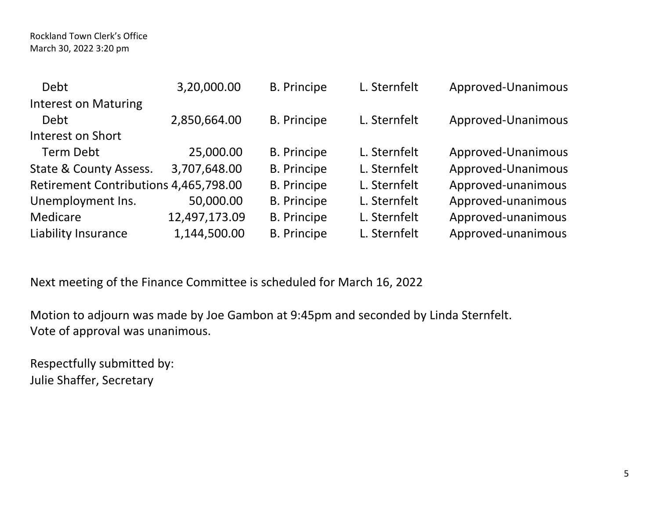| <b>Debt</b>                           | 3,20,000.00   | <b>B.</b> Principe | L. Sternfelt | Approved-Unanimous |
|---------------------------------------|---------------|--------------------|--------------|--------------------|
| <b>Interest on Maturing</b>           |               |                    |              |                    |
| <b>Debt</b>                           | 2,850,664.00  | <b>B.</b> Principe | L. Sternfelt | Approved-Unanimous |
| Interest on Short                     |               |                    |              |                    |
| <b>Term Debt</b>                      | 25,000.00     | <b>B.</b> Principe | L. Sternfelt | Approved-Unanimous |
| State & County Assess.                | 3,707,648.00  | <b>B.</b> Principe | L. Sternfelt | Approved-Unanimous |
| Retirement Contributions 4,465,798.00 |               | <b>B.</b> Principe | L. Sternfelt | Approved-unanimous |
| Unemployment Ins.                     | 50,000.00     | <b>B.</b> Principe | L. Sternfelt | Approved-unanimous |
| Medicare                              | 12,497,173.09 | <b>B.</b> Principe | L. Sternfelt | Approved-unanimous |
| Liability Insurance                   | 1,144,500.00  | <b>B.</b> Principe | L. Sternfelt | Approved-unanimous |

Next meeting of the Finance Committee is scheduled for March 16, 2022

Motion to adjourn was made by Joe Gambon at 9:45pm and seconded by Linda Sternfelt. Vote of approval was unanimous.

Respectfully submitted by: Julie Shaffer, Secretary